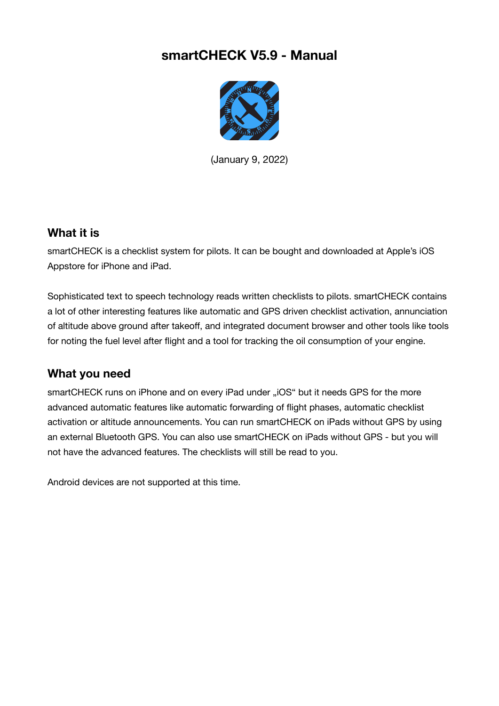# **smartCHECK V5.9 - Manual**



(January 9, 2022)

### **What it is**

smartCHECK is a checklist system for pilots. It can be bought and downloaded at Apple's iOS Appstore for iPhone and iPad.

Sophisticated text to speech technology reads written checklists to pilots. smartCHECK contains a lot of other interesting features like automatic and GPS driven checklist activation, annunciation of altitude above ground after takeoff, and integrated document browser and other tools like tools for noting the fuel level after flight and a tool for tracking the oil consumption of your engine.

### **What you need**

smartCHECK runs on iPhone and on every iPad under "iOS" but it needs GPS for the more advanced automatic features like automatic forwarding of flight phases, automatic checklist activation or altitude announcements. You can run smartCHECK on iPads without GPS by using an external Bluetooth GPS. You can also use smartCHECK on iPads without GPS - but you will not have the advanced features. The checklists will still be read to you.

Android devices are not supported at this time.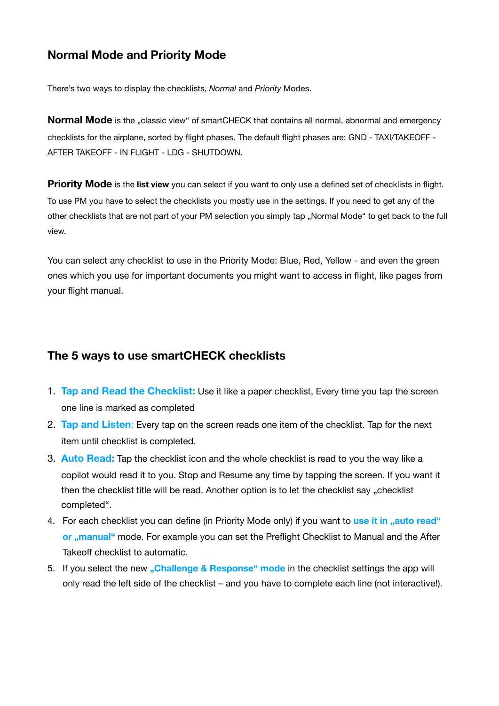# **Normal Mode and Priority Mode**

There's two ways to display the checklists, *Normal* and *Priority* Modes.

**Normal Mode** is the "classic view" of smartCHECK that contains all normal, abnormal and emergency checklists for the airplane, sorted by flight phases. The default flight phases are: GND - TAXI/TAKEOFF - AFTER TAKEOFF - IN FLIGHT - LDG - SHUTDOWN.

**Priority Mode** is the **list view** you can select if you want to only use a defined set of checklists in flight. To use PM you have to select the checklists you mostly use in the settings. If you need to get any of the other checklists that are not part of your PM selection you simply tap "Normal Mode" to get back to the full view.

You can select any checklist to use in the Priority Mode: Blue, Red, Yellow - and even the green ones which you use for important documents you might want to access in flight, like pages from your flight manual.

### **The 5 ways to use smartCHECK checklists**

- 1. **Tap and Read the Checklist:** Use it like a paper checklist, Every time you tap the screen one line is marked as completed
- 2. **Tap and Listen**: Every tap on the screen reads one item of the checklist. Tap for the next item until checklist is completed.
- 3. **Auto Read:** Tap the checklist icon and the whole checklist is read to you the way like a copilot would read it to you. Stop and Resume any time by tapping the screen. If you want it then the checklist title will be read. Another option is to let the checklist say "checklist completed".
- 4. For each checklist you can define (in Priority Mode only) if you want to use it in "auto read" **or ...manual** mode. For example you can set the Preflight Checklist to Manual and the After Takeoff checklist to automatic.
- 5. If you select the new "Challenge & Response" mode in the checklist settings the app will only read the left side of the checklist – and you have to complete each line (not interactive!).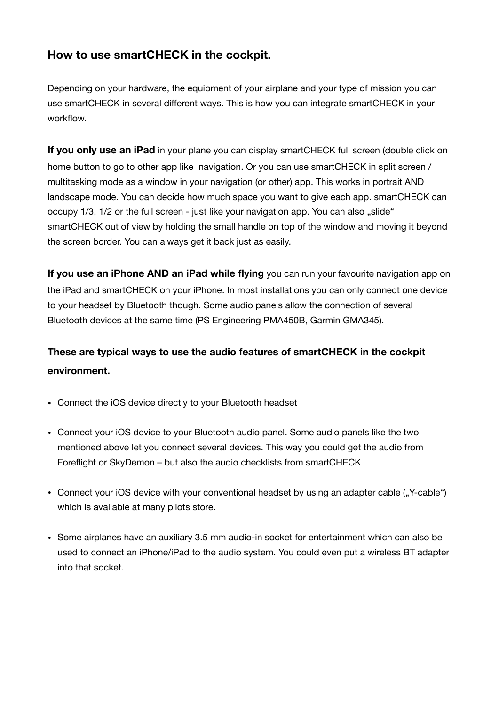### **How to use smartCHECK in the cockpit.**

Depending on your hardware, the equipment of your airplane and your type of mission you can use smartCHECK in several different ways. This is how you can integrate smartCHECK in your workflow.

**If you only use an iPad** in your plane you can display smartCHECK full screen (double click on home button to go to other app like navigation. Or you can use smartCHECK in split screen / multitasking mode as a window in your navigation (or other) app. This works in portrait AND landscape mode. You can decide how much space you want to give each app. smartCHECK can occupy 1/3, 1/2 or the full screen - just like your navigation app. You can also "slide" smartCHECK out of view by holding the small handle on top of the window and moving it beyond the screen border. You can always get it back just as easily.

**If you use an iPhone AND an iPad while flying** you can run your favourite navigation app on the iPad and smartCHECK on your iPhone. In most installations you can only connect one device to your headset by Bluetooth though. Some audio panels allow the connection of several Bluetooth devices at the same time (PS Engineering PMA450B, Garmin GMA345).

# **These are typical ways to use the audio features of smartCHECK in the cockpit environment.**

- Connect the iOS device directly to your Bluetooth headset
- Connect your iOS device to your Bluetooth audio panel. Some audio panels like the two mentioned above let you connect several devices. This way you could get the audio from Foreflight or SkyDemon – but also the audio checklists from smartCHECK
- Connect your iOS device with your conventional headset by using an adapter cable ("Y-cable") which is available at many pilots store.
- Some airplanes have an auxiliary 3.5 mm audio-in socket for entertainment which can also be used to connect an iPhone/iPad to the audio system. You could even put a wireless BT adapter into that socket.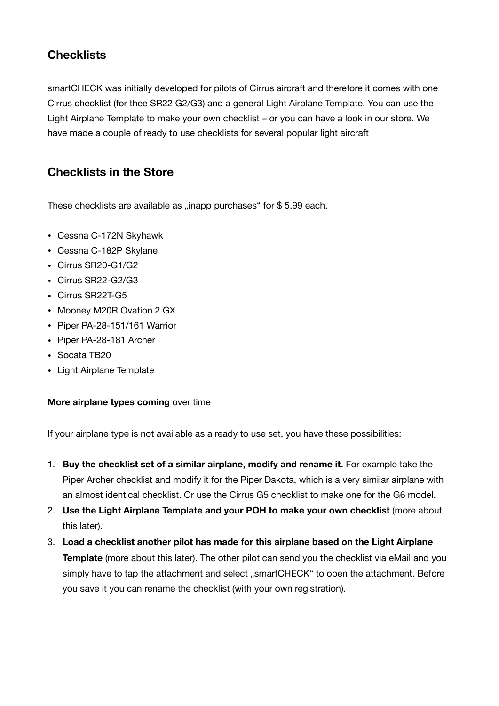# **Checklists**

smartCHECK was initially developed for pilots of Cirrus aircraft and therefore it comes with one Cirrus checklist (for thee SR22 G2/G3) and a general Light Airplane Template. You can use the Light Airplane Template to make your own checklist – or you can have a look in our store. We have made a couple of ready to use checklists for several popular light aircraft

### **Checklists in the Store**

These checklists are available as "inapp purchases" for  $$ 5.99$  each.

- Cessna C-172N Skyhawk
- Cessna C-182P Skylane
- Cirrus SR20-G1/G2
- Cirrus SR22-G2/G3
- Cirrus SR22T-G5
- Mooney M20R Ovation 2 GX
- Piper PA-28-151/161 Warrior
- Piper PA-28-181 Archer
- Socata TB20
- Light Airplane Template

#### **More airplane types coming** over time

If your airplane type is not available as a ready to use set, you have these possibilities:

- 1. **Buy the checklist set of a similar airplane, modify and rename it.** For example take the Piper Archer checklist and modify it for the Piper Dakota, which is a very similar airplane with an almost identical checklist. Or use the Cirrus G5 checklist to make one for the G6 model.
- 2. **Use the Light Airplane Template and your POH to make your own checklist** (more about this later).
- 3. **Load a checklist another pilot has made for this airplane based on the Light Airplane Template** (more about this later). The other pilot can send you the checklist via eMail and you simply have to tap the attachment and select ..smartCHECK" to open the attachment. Before you save it you can rename the checklist (with your own registration).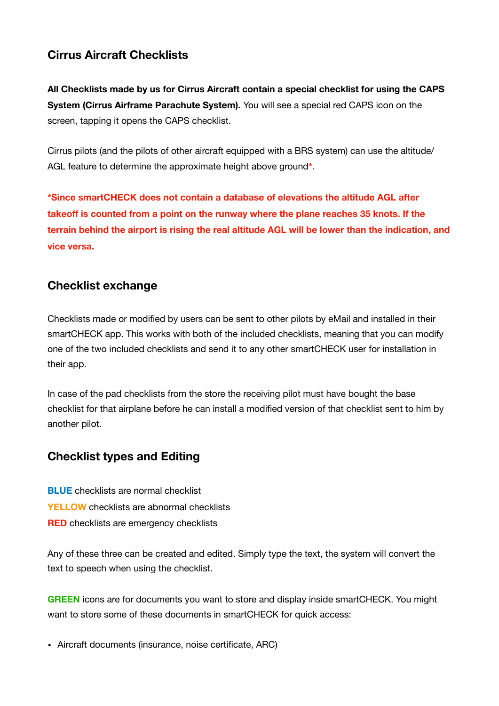## **Cirrus Aircraft Checklists**

**All Checklists made by us for Cirrus Aircraft contain a special checklist for using the CAPS System (Cirrus Airframe Parachute System).** You will see a special red CAPS icon on the screen, tapping it opens the CAPS checklist.

Cirrus pilots (and the pilots of other aircraft equipped with a BRS system) can use the altitude/ AGL feature to determine the approximate height above ground**\***.

**\*Since smartCHECK does not contain a database of elevations the altitude AGL after takeoff is counted from a point on the runway where the plane reaches 35 knots. If the terrain behind the airport is rising the real altitude AGL will be lower than the indication, and vice versa.** 

### **Checklist exchange**

Checklists made or modified by users can be sent to other pilots by eMail and installed in their smartCHECK app. This works with both of the included checklists, meaning that you can modify one of the two included checklists and send it to any other smartCHECK user for installation in their app.

In case of the pad checklists from the store the receiving pilot must have bought the base checklist for that airplane before he can install a modified version of that checklist sent to him by another pilot.

### **Checklist types and Editing**

**BLUE** checklists are normal checklist **YELLOW** checklists are abnormal checklists **RED** checklists are emergency checklists

Any of these three can be created and edited. Simply type the text, the system will convert the text to speech when using the checklist.

**GREEN** icons are for documents you want to store and display inside smartCHECK. You might want to store some of these documents in smartCHECK for quick access:

• Aircraft documents (insurance, noise certificate, ARC)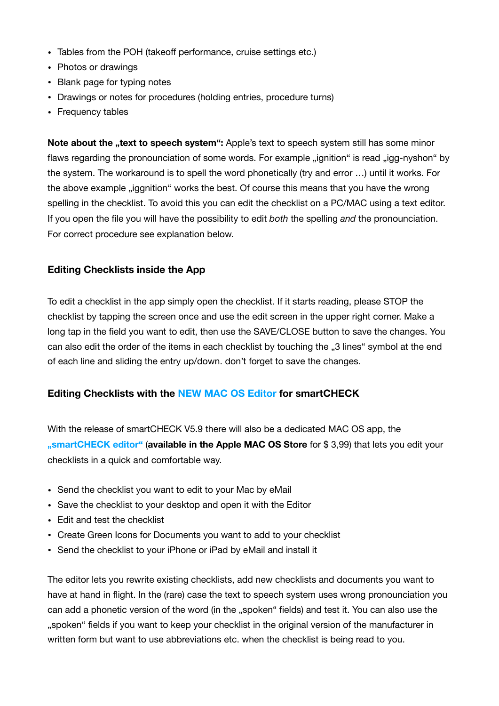- Tables from the POH (takeoff performance, cruise settings etc.)
- Photos or drawings
- Blank page for typing notes
- Drawings or notes for procedures (holding entries, procedure turns)
- Frequency tables

**Note about the "text to speech system":** Apple's text to speech system still has some minor flaws regarding the pronounciation of some words. For example "ignition" is read "igg-nyshon" by the system. The workaround is to spell the word phonetically (try and error …) until it works. For the above example "iggnition" works the best. Of course this means that you have the wrong spelling in the checklist. To avoid this you can edit the checklist on a PC/MAC using a text editor. If you open the file you will have the possibility to edit *both* the spelling *and* the pronounciation. For correct procedure see explanation below.

#### **Editing Checklists inside the App**

To edit a checklist in the app simply open the checklist. If it starts reading, please STOP the checklist by tapping the screen once and use the edit screen in the upper right corner. Make a long tap in the field you want to edit, then use the SAVE/CLOSE button to save the changes. You can also edit the order of the items in each checklist by touching the "3 lines" symbol at the end of each line and sliding the entry up/down. don't forget to save the changes.

#### **Editing Checklists with the NEW MAC OS Editor for smartCHECK**

With the release of smartCHECK V5.9 there will also be a dedicated MAC OS app, the **"smartCHECK editor"** (**available in the Apple MAC OS Store** for \$ 3,99) that lets you edit your checklists in a quick and comfortable way.

- Send the checklist you want to edit to your Mac by eMail
- Save the checklist to your desktop and open it with the Editor
- Edit and test the checklist
- Create Green Icons for Documents you want to add to your checklist
- Send the checklist to your iPhone or iPad by eMail and install it

The editor lets you rewrite existing checklists, add new checklists and documents you want to have at hand in flight. In the (rare) case the text to speech system uses wrong pronounciation you can add a phonetic version of the word (in the "spoken" fields) and test it. You can also use the "spoken" fields if you want to keep your checklist in the original version of the manufacturer in written form but want to use abbreviations etc. when the checklist is being read to you.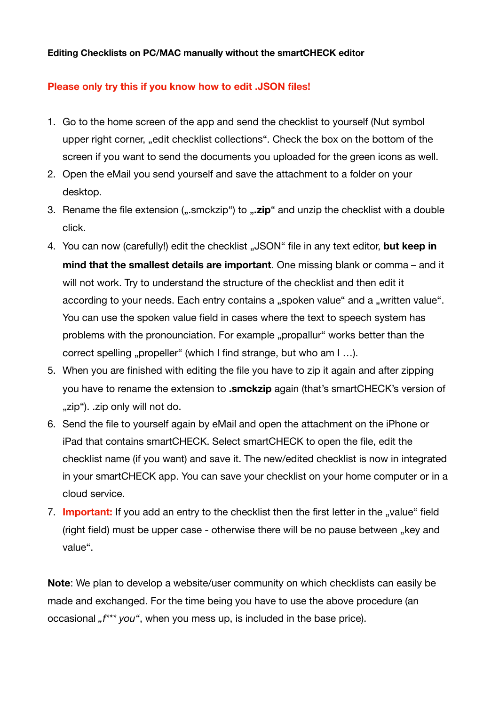#### **Editing Checklists on PC/MAC manually without the smartCHECK editor**

#### **Please only try this if you know how to edit .JSON files!**

- 1. Go to the home screen of the app and send the checklist to yourself (Nut symbol upper right corner, "edit checklist collections". Check the box on the bottom of the screen if you want to send the documents you uploaded for the green icons as well.
- 2. Open the eMail you send yourself and save the attachment to a folder on your desktop.
- 3. Rename the file extension (".smckzip") to "**.zip**" and unzip the checklist with a double click.
- 4. You can now (carefully!) edit the checklist "JSON" file in any text editor, but keep in **mind that the smallest details are important**. One missing blank or comma – and it will not work. Try to understand the structure of the checklist and then edit it according to your needs. Each entry contains a "spoken value" and a "written value". You can use the spoken value field in cases where the text to speech system has problems with the pronounciation. For example "propallur" works better than the correct spelling "propeller" (which I find strange, but who am I ...).
- 5. When you are finished with editing the file you have to zip it again and after zipping you have to rename the extension to **.smckzip** again (that's smartCHECK's version of "zip"). .zip only will not do.
- 6. Send the file to yourself again by eMail and open the attachment on the iPhone or iPad that contains smartCHECK. Select smartCHECK to open the file, edit the checklist name (if you want) and save it. The new/edited checklist is now in integrated in your smartCHECK app. You can save your checklist on your home computer or in a cloud service.
- 7. **Important:** If you add an entry to the checklist then the first letter in the "value" field (right field) must be upper case - otherwise there will be no pause between "key and value".

**Note**: We plan to develop a website/user community on which checklists can easily be made and exchanged. For the time being you have to use the above procedure (an occasional " $f^{***}$  you", when you mess up, is included in the base price).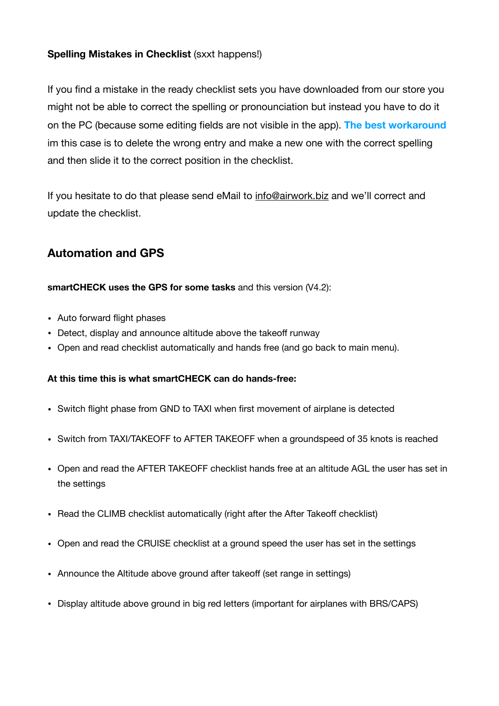### **Spelling Mistakes in Checklist** (sxxt happens!)

If you find a mistake in the ready checklist sets you have downloaded from our store you might not be able to correct the spelling or pronounciation but instead you have to do it on the PC (because some editing fields are not visible in the app). **The best workaround** im this case is to delete the wrong entry and make a new one with the correct spelling and then slide it to the correct position in the checklist.

If you hesitate to do that please send eMail to [info@airwork.biz](mailto:info@airwork.biz) and we'll correct and update the checklist.

## **Automation and GPS**

#### **smartCHECK uses the GPS for some tasks** and this version (V4.2):

- Auto forward flight phases
- Detect, display and announce altitude above the takeoff runway
- Open and read checklist automatically and hands free (and go back to main menu).

#### **At this time this is what smartCHECK can do hands-free:**

- Switch flight phase from GND to TAXI when first movement of airplane is detected
- Switch from TAXI/TAKEOFF to AFTER TAKEOFF when a groundspeed of 35 knots is reached
- Open and read the AFTER TAKEOFF checklist hands free at an altitude AGL the user has set in the settings
- Read the CLIMB checklist automatically (right after the After Takeoff checklist)
- Open and read the CRUISE checklist at a ground speed the user has set in the settings
- Announce the Altitude above ground after takeoff (set range in settings)
- Display altitude above ground in big red letters (important for airplanes with BRS/CAPS)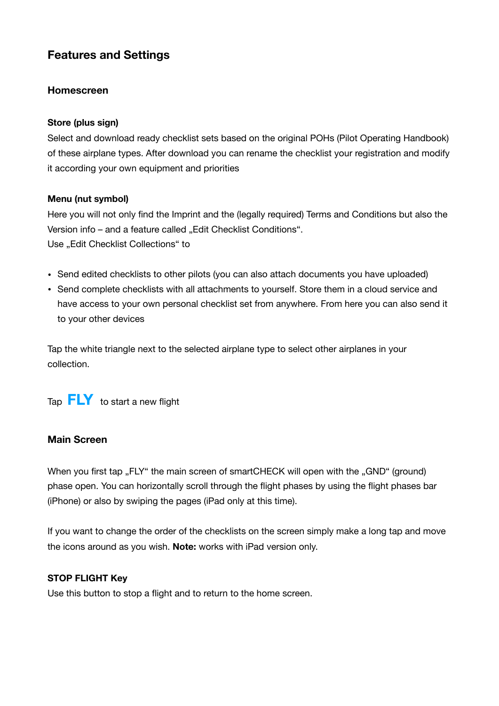# **Features and Settings**

#### **Homescreen**

#### **Store (plus sign)**

Select and download ready checklist sets based on the original POHs (Pilot Operating Handbook) of these airplane types. After download you can rename the checklist your registration and modify it according your own equipment and priorities

#### **Menu (nut symbol)**

Here you will not only find the Imprint and the (legally required) Terms and Conditions but also the Version info – and a feature called "Edit Checklist Conditions". Use "Edit Checklist Collections" to

- Send edited checklists to other pilots (you can also attach documents you have uploaded)
- Send complete checklists with all attachments to yourself. Store them in a cloud service and have access to your own personal checklist set from anywhere. From here you can also send it to your other devices

Tap the white triangle next to the selected airplane type to select other airplanes in your collection.

Tap **FLY** to start a new flight

#### **Main Screen**

When you first tap "FLY" the main screen of smartCHECK will open with the "GND" (ground) phase open. You can horizontally scroll through the flight phases by using the flight phases bar (iPhone) or also by swiping the pages (iPad only at this time).

If you want to change the order of the checklists on the screen simply make a long tap and move the icons around as you wish. **Note:** works with iPad version only.

#### **STOP FLIGHT Key**

Use this button to stop a flight and to return to the home screen.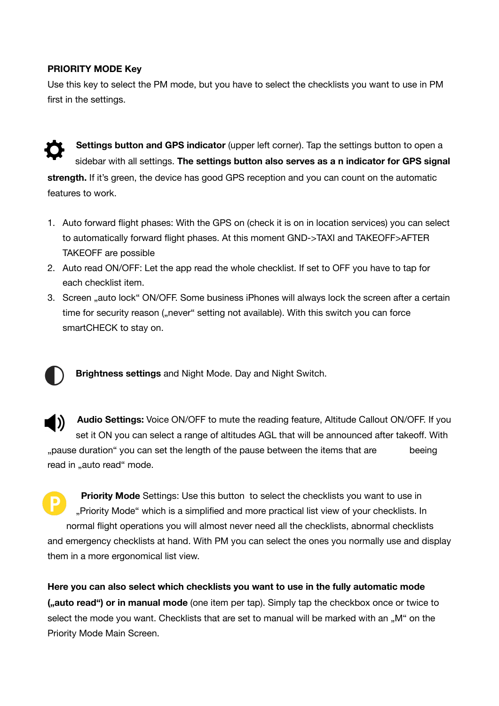#### **PRIORITY MODE Key**

Use this key to select the PM mode, but you have to select the checklists you want to use in PM first in the settings.



**Settings button and GPS indicator** (upper left corner). Tap the settings button to open a sidebar with all settings. **The settings button also serves as a n indicator for GPS signal strength.** If it's green, the device has good GPS reception and you can count on the automatic features to work.

- 1. Auto forward flight phases: With the GPS on (check it is on in location services) you can select to automatically forward flight phases. At this moment GND->TAXI and TAKEOFF>AFTER TAKEOFF are possible
- 2. Auto read ON/OFF: Let the app read the whole checklist. If set to OFF you have to tap for each checklist item.
- 3. Screen "auto lock" ON/OFF. Some business iPhones will always lock the screen after a certain time for security reason ("never" setting not available). With this switch you can force smartCHECK to stay on.



**Brightness settings** and Night Mode. Day and Night Switch.

**Audio Settings:** Voice ON/OFF to mute the reading feature, Altitude Callout ON/OFF. If you I)) set it ON you can select a range of altitudes AGL that will be announced after takeoff. With ", pause duration" you can set the length of the pause between the items that are beeing read in "auto read" mode.

**Priority Mode** Settings: Use this button to select the checklists you want to use in "Priority Mode" which is a simplified and more practical list view of your checklists. In normal flight operations you will almost never need all the checklists, abnormal checklists and emergency checklists at hand. With PM you can select the ones you normally use and display them in a more ergonomical list view.

**Here you can also select which checklists you want to use in the fully automatic mode ("auto read") or in manual mode** (one item per tap). Simply tap the checkbox once or twice to select the mode you want. Checklists that are set to manual will be marked with an ..M" on the Priority Mode Main Screen.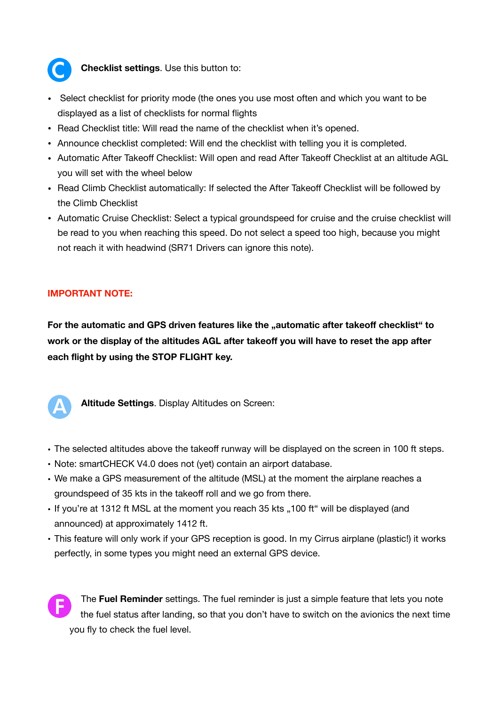

**Checklist settings**. Use this button to:

- Select checklist for priority mode (the ones you use most often and which you want to be displayed as a list of checklists for normal flights
- Read Checklist title: Will read the name of the checklist when it's opened.
- Announce checklist completed: Will end the checklist with telling you it is completed.
- Automatic After Takeoff Checklist: Will open and read After Takeoff Checklist at an altitude AGL you will set with the wheel below
- Read Climb Checklist automatically: If selected the After Takeoff Checklist will be followed by the Climb Checklist
- Automatic Cruise Checklist: Select a typical groundspeed for cruise and the cruise checklist will be read to you when reaching this speed. Do not select a speed too high, because you might not reach it with headwind (SR71 Drivers can ignore this note).

#### **IMPORTANT NOTE:**

For the automatic and GPS driven features like the "automatic after takeoff checklist" to **work or the display of the altitudes AGL after takeoff you will have to reset the app after each flight by using the STOP FLIGHT key.** 



**Altitude Settings**. Display Altitudes on Screen:

- The selected altitudes above the takeoff runway will be displayed on the screen in 100 ft steps.
- Note: smartCHECK V4.0 does not (yet) contain an airport database.
- We make a GPS measurement of the altitude (MSL) at the moment the airplane reaches a groundspeed of 35 kts in the takeoff roll and we go from there.
- If you're at 1312 ft MSL at the moment you reach 35 kts "100 ft" will be displayed (and announced) at approximately 1412 ft.
- This feature will only work if your GPS reception is good. In my Cirrus airplane (plastic!) it works perfectly, in some types you might need an external GPS device.



The **Fuel Reminder** settings. The fuel reminder is just a simple feature that lets you note the fuel status after landing, so that you don't have to switch on the avionics the next time you fly to check the fuel level.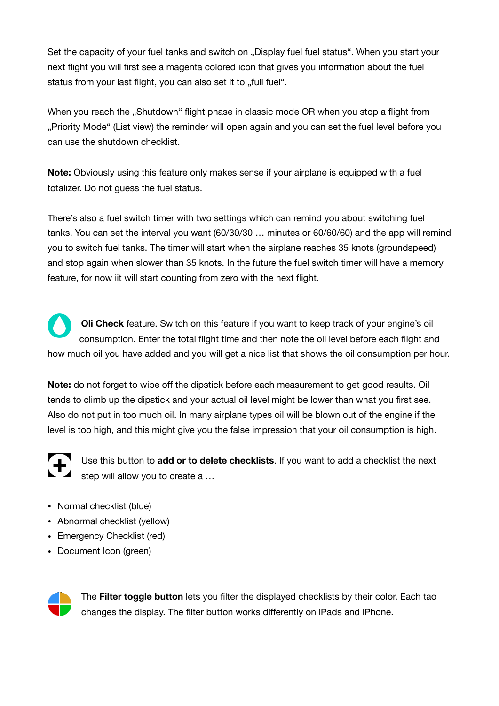Set the capacity of your fuel tanks and switch on . Display fuel fuel status". When you start your next flight you will first see a magenta colored icon that gives you information about the fuel status from your last flight, you can also set it to "full fuel".

When you reach the "Shutdown" flight phase in classic mode OR when you stop a flight from "Priority Mode" (List view) the reminder will open again and you can set the fuel level before you can use the shutdown checklist.

**Note:** Obviously using this feature only makes sense if your airplane is equipped with a fuel totalizer. Do not guess the fuel status.

There's also a fuel switch timer with two settings which can remind you about switching fuel tanks. You can set the interval you want (60/30/30 … minutes or 60/60/60) and the app will remind you to switch fuel tanks. The timer will start when the airplane reaches 35 knots (groundspeed) and stop again when slower than 35 knots. In the future the fuel switch timer will have a memory feature, for now iit will start counting from zero with the next flight.

**Oli Check** feature. Switch on this feature if you want to keep track of your engine's oil consumption. Enter the total flight time and then note the oil level before each flight and how much oil you have added and you will get a nice list that shows the oil consumption per hour.

**Note:** do not forget to wipe off the dipstick before each measurement to get good results. Oil tends to climb up the dipstick and your actual oil level might be lower than what you first see. Also do not put in too much oil. In many airplane types oil will be blown out of the engine if the level is too high, and this might give you the false impression that your oil consumption is high.



Use this button to **add or to delete checklists**. If you want to add a checklist the next step will allow you to create a …

- Normal checklist (blue)
- Abnormal checklist (yellow)
- Emergency Checklist (red)
- Document Icon (green)



The **Filter toggle button** lets you filter the displayed checklists by their color. Each tao changes the display. The filter button works differently on iPads and iPhone.